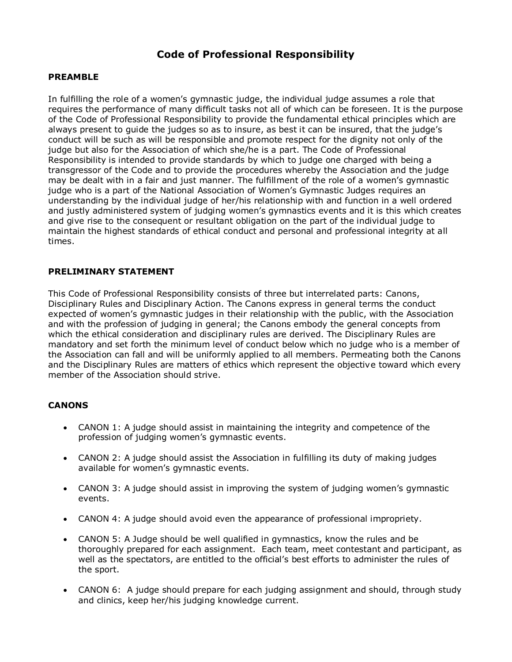# **Code of Professional Responsibility**

#### **PREAMBLE**

In fulfilling the role of a women's gymnastic judge, the individual judge assumes a role that requires the performance of many difficult tasks not all of which can be foreseen. It is the purpose of the Code of Professional Responsibility to provide the fundamental ethical principles which are always present to guide the judges so as to insure, as best it can be insured, that the judge's conduct will be such as will be responsible and promote respect for the dignity not only of the judge but also for the Association of which she/he is a part. The Code of Professional Responsibility is intended to provide standards by which to judge one charged with being a transgressor of the Code and to provide the procedures whereby the Association and the judge may be dealt with in a fair and just manner. The fulfillment of the role of a women's gymnastic judge who is a part of the National Association of Women's Gymnastic Judges requires an understanding by the individual judge of her/his relationship with and function in a well ordered and justly administered system of judging women's gymnastics events and it is this which creates and give rise to the consequent or resultant obligation on the part of the individual judge to maintain the highest standards of ethical conduct and personal and professional integrity at all times.

## **PRELIMINARY STATEMENT**

This Code of Professional Responsibility consists of three but interrelated parts: Canons, Disciplinary Rules and Disciplinary Action. The Canons express in general terms the conduct expected of women's gymnastic judges in their relationship with the public, with the Association and with the profession of judging in general; the Canons embody the general concepts from which the ethical consideration and disciplinary rules are derived. The Disciplinary Rules are mandatory and set forth the minimum level of conduct below which no judge who is a member of the Association can fall and will be uniformly applied to all members. Permeating both the Canons and the Disciplinary Rules are matters of ethics which represent the objective toward which every member of the Association should strive.

#### **CANONS**

- CANON 1: A judge should assist in maintaining the integrity and competence of the profession of judging women's gymnastic events.
- CANON 2: A judge should assist the Association in fulfilling its duty of making judges available for women's gymnastic events.
- CANON 3: A judge should assist in improving the system of judging women's gymnastic events.
- CANON 4: A judge should avoid even the appearance of professional impropriety.
- CANON 5: A Judge should be well qualified in gymnastics, know the rules and be thoroughly prepared for each assignment. Each team, meet contestant and participant, as well as the spectators, are entitled to the official's best efforts to administer the rules of the sport.
- CANON 6: A judge should prepare for each judging assignment and should, through study and clinics, keep her/his judging knowledge current.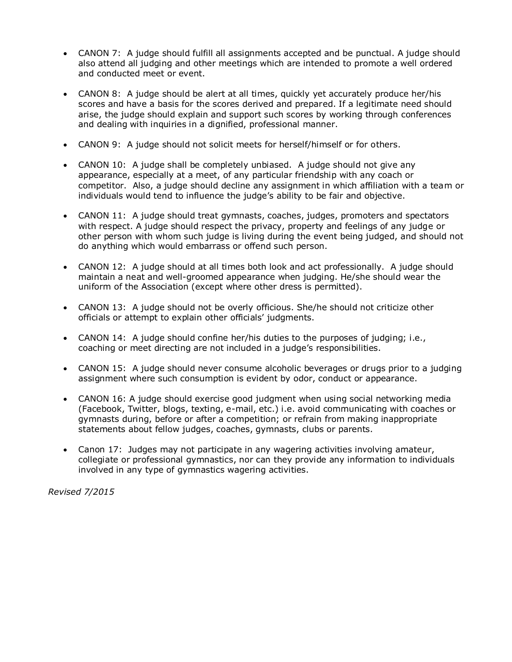- CANON 7: A judge should fulfill all assignments accepted and be punctual. A judge should also attend all judging and other meetings which are intended to promote a well ordered and conducted meet or event.
- CANON 8: A judge should be alert at all times, quickly yet accurately produce her/his scores and have a basis for the scores derived and prepared. If a legitimate need should arise, the judge should explain and support such scores by working through conferences and dealing with inquiries in a dignified, professional manner.
- CANON 9: A judge should not solicit meets for herself/himself or for others.
- CANON 10: A judge shall be completely unbiased. A judge should not give any appearance, especially at a meet, of any particular friendship with any coach or competitor. Also, a judge should decline any assignment in which affiliation with a team or individuals would tend to influence the judge's ability to be fair and objective.
- CANON 11: A judge should treat gymnasts, coaches, judges, promoters and spectators with respect. A judge should respect the privacy, property and feelings of any judge or other person with whom such judge is living during the event being judged, and should not do anything which would embarrass or offend such person.
- CANON 12: A judge should at all times both look and act professionally. A judge should maintain a neat and well-groomed appearance when judging. He/she should wear the uniform of the Association (except where other dress is permitted).
- CANON 13: A judge should not be overly officious. She/he should not criticize other officials or attempt to explain other officials' judgments.
- CANON 14: A judge should confine her/his duties to the purposes of judging; i.e., coaching or meet directing are not included in a judge's responsibilities.
- CANON 15: A judge should never consume alcoholic beverages or drugs prior to a judging assignment where such consumption is evident by odor, conduct or appearance.
- CANON 16: A judge should exercise good judgment when using social networking media (Facebook, Twitter, blogs, texting, e-mail, etc.) i.e. avoid communicating with coaches or gymnasts during, before or after a competition; or refrain from making inappropriate statements about fellow judges, coaches, gymnasts, clubs or parents.
- Canon 17: Judges may not participate in any wagering activities involving amateur, collegiate or professional gymnastics, nor can they provide any information to individuals involved in any type of gymnastics wagering activities.

*Revised 7/2015*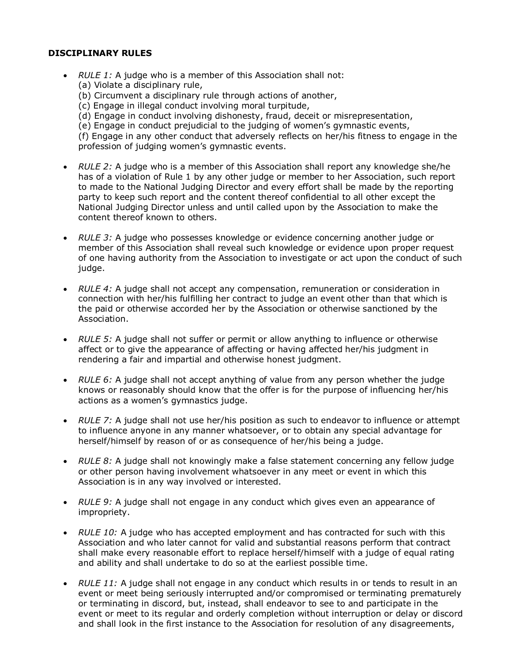## **DISCIPLINARY RULES**

- *RULE 1:* A judge who is a member of this Association shall not:
	- (a) Violate a disciplinary rule,
	- (b) Circumvent a disciplinary rule through actions of another,
	- (c) Engage in illegal conduct involving moral turpitude,
	- (d) Engage in conduct involving dishonesty, fraud, deceit or misrepresentation,
	- (e) Engage in conduct prejudicial to the judging of women's gymnastic events,

(f) Engage in any other conduct that adversely reflects on her/his fitness to engage in the profession of judging women's gymnastic events.

- *RULE 2:* A judge who is a member of this Association shall report any knowledge she/he has of a violation of Rule 1 by any other judge or member to her Association, such report to made to the National Judging Director and every effort shall be made by the reporting party to keep such report and the content thereof confidential to all other except the National Judging Director unless and until called upon by the Association to make the content thereof known to others.
- *RULE 3:* A judge who possesses knowledge or evidence concerning another judge or member of this Association shall reveal such knowledge or evidence upon proper request of one having authority from the Association to investigate or act upon the conduct of such judge.
- *RULE 4:* A judge shall not accept any compensation, remuneration or consideration in connection with her/his fulfilling her contract to judge an event other than that which is the paid or otherwise accorded her by the Association or otherwise sanctioned by the Association.
- *RULE 5:* A judge shall not suffer or permit or allow anything to influence or otherwise affect or to give the appearance of affecting or having affected her/his judgment in rendering a fair and impartial and otherwise honest judgment.
- *RULE 6:* A judge shall not accept anything of value from any person whether the judge knows or reasonably should know that the offer is for the purpose of influencing her/his actions as a women's gymnastics judge.
- *RULE 7:* A judge shall not use her/his position as such to endeavor to influence or attempt to influence anyone in any manner whatsoever, or to obtain any special advantage for herself/himself by reason of or as consequence of her/his being a judge.
- *RULE 8:* A judge shall not knowingly make a false statement concerning any fellow judge or other person having involvement whatsoever in any meet or event in which this Association is in any way involved or interested.
- *RULE 9:* A judge shall not engage in any conduct which gives even an appearance of impropriety.
- *RULE 10:* A judge who has accepted employment and has contracted for such with this Association and who later cannot for valid and substantial reasons perform that contract shall make every reasonable effort to replace herself/himself with a judge of equal rating and ability and shall undertake to do so at the earliest possible time.
- *RULE 11:* A judge shall not engage in any conduct which results in or tends to result in an event or meet being seriously interrupted and/or compromised or terminating prematurely or terminating in discord, but, instead, shall endeavor to see to and participate in the event or meet to its regular and orderly completion without interruption or delay or discord and shall look in the first instance to the Association for resolution of any disagreements,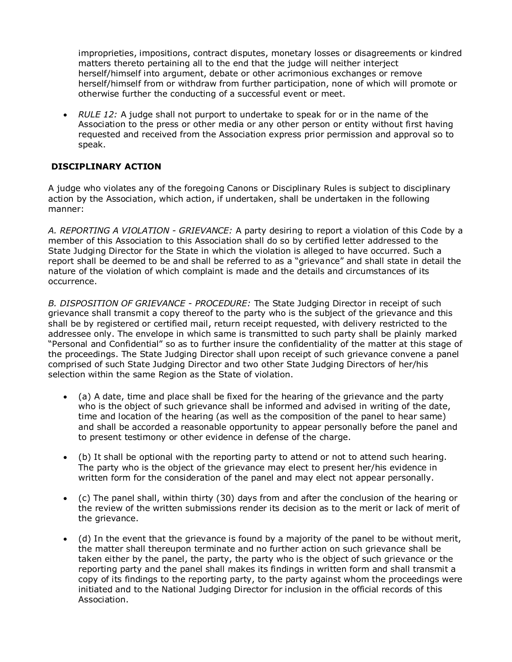improprieties, impositions, contract disputes, monetary losses or disagreements or kindred matters thereto pertaining all to the end that the judge will neither interject herself/himself into argument, debate or other acrimonious exchanges or remove herself/himself from or withdraw from further participation, none of which will promote or otherwise further the conducting of a successful event or meet.

 *RULE 12:* A judge shall not purport to undertake to speak for or in the name of the Association to the press or other media or any other person or entity without first having requested and received from the Association express prior permission and approval so to speak.

# **DISCIPLINARY ACTION**

A judge who violates any of the foregoing Canons or Disciplinary Rules is subject to disciplinary action by the Association, which action, if undertaken, shall be undertaken in the following manner:

*A. REPORTING A VIOLATION - GRIEVANCE:* A party desiring to report a violation of this Code by a member of this Association to this Association shall do so by certified letter addressed to the State Judging Director for the State in which the violation is alleged to have occurred. Such a report shall be deemed to be and shall be referred to as a "grievance" and shall state in detail the nature of the violation of which complaint is made and the details and circumstances of its occurrence.

*B. DISPOSITION OF GRIEVANCE - PROCEDURE:* The State Judging Director in receipt of such grievance shall transmit a copy thereof to the party who is the subject of the grievance and this shall be by registered or certified mail, return receipt requested, with delivery restricted to the addressee only. The envelope in which same is transmitted to such party shall be plainly marked "Personal and Confidential" so as to further insure the confidentiality of the matter at this stage of the proceedings. The State Judging Director shall upon receipt of such grievance convene a panel comprised of such State Judging Director and two other State Judging Directors of her/his selection within the same Region as the State of violation.

- (a) A date, time and place shall be fixed for the hearing of the grievance and the party who is the object of such grievance shall be informed and advised in writing of the date, time and location of the hearing (as well as the composition of the panel to hear same) and shall be accorded a reasonable opportunity to appear personally before the panel and to present testimony or other evidence in defense of the charge.
- (b) It shall be optional with the reporting party to attend or not to attend such hearing. The party who is the object of the grievance may elect to present her/his evidence in written form for the consideration of the panel and may elect not appear personally.
- (c) The panel shall, within thirty (30) days from and after the conclusion of the hearing or the review of the written submissions render its decision as to the merit or lack of merit of the grievance.
- (d) In the event that the grievance is found by a majority of the panel to be without merit, the matter shall thereupon terminate and no further action on such grievance shall be taken either by the panel, the party, the party who is the object of such grievance or the reporting party and the panel shall makes its findings in written form and shall transmit a copy of its findings to the reporting party, to the party against whom the proceedings were initiated and to the National Judging Director for inclusion in the official records of this Association.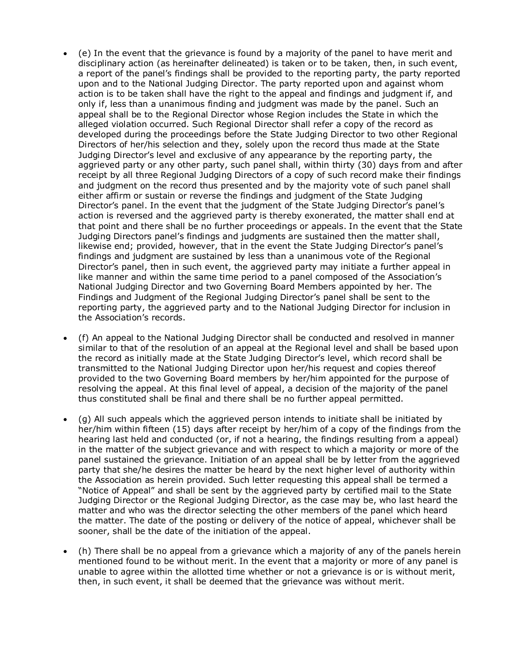- (e) In the event that the grievance is found by a majority of the panel to have merit and disciplinary action (as hereinafter delineated) is taken or to be taken, then, in such event, a report of the panel's findings shall be provided to the reporting party, the party reported upon and to the National Judging Director. The party reported upon and against whom action is to be taken shall have the right to the appeal and findings and judgment if, and only if, less than a unanimous finding and judgment was made by the panel. Such an appeal shall be to the Regional Director whose Region includes the State in which the alleged violation occurred. Such Regional Director shall refer a copy of the record as developed during the proceedings before the State Judging Director to two other Regional Directors of her/his selection and they, solely upon the record thus made at the State Judging Director's level and exclusive of any appearance by the reporting party, the aggrieved party or any other party, such panel shall, within thirty (30) days from and after receipt by all three Regional Judging Directors of a copy of such record make their findings and judgment on the record thus presented and by the majority vote of such panel shall either affirm or sustain or reverse the findings and judgment of the State Judging Director's panel. In the event that the judgment of the State Judging Director's panel's action is reversed and the aggrieved party is thereby exonerated, the matter shall end at that point and there shall be no further proceedings or appeals. In the event that the State Judging Directors panel's findings and judgments are sustained then the matter shall, likewise end; provided, however, that in the event the State Judging Director's panel's findings and judgment are sustained by less than a unanimous vote of the Regional Director's panel, then in such event, the aggrieved party may initiate a further appeal in like manner and within the same time period to a panel composed of the Association's National Judging Director and two Governing Board Members appointed by her. The Findings and Judgment of the Regional Judging Director's panel shall be sent to the reporting party, the aggrieved party and to the National Judging Director for inclusion in the Association's records.
- (f) An appeal to the National Judging Director shall be conducted and resolved in manner similar to that of the resolution of an appeal at the Regional level and shall be based upon the record as initially made at the State Judging Director's level, which record shall be transmitted to the National Judging Director upon her/his request and copies thereof provided to the two Governing Board members by her/him appointed for the purpose of resolving the appeal. At this final level of appeal, a decision of the majority of the panel thus constituted shall be final and there shall be no further appeal permitted.
- (g) All such appeals which the aggrieved person intends to initiate shall be initiated by her/him within fifteen (15) days after receipt by her/him of a copy of the findings from the hearing last held and conducted (or, if not a hearing, the findings resulting from a appeal) in the matter of the subject grievance and with respect to which a majority or more of the panel sustained the grievance. Initiation of an appeal shall be by letter from the aggrieved party that she/he desires the matter be heard by the next higher level of authority within the Association as herein provided. Such letter requesting this appeal shall be termed a "Notice of Appeal" and shall be sent by the aggrieved party by certified mail to the State Judging Director or the Regional Judging Director, as the case may be, who last heard the matter and who was the director selecting the other members of the panel which heard the matter. The date of the posting or delivery of the notice of appeal, whichever shall be sooner, shall be the date of the initiation of the appeal.
- (h) There shall be no appeal from a grievance which a majority of any of the panels herein mentioned found to be without merit. In the event that a majority or more of any panel is unable to agree within the allotted time whether or not a grievance is or is without merit, then, in such event, it shall be deemed that the grievance was without merit.